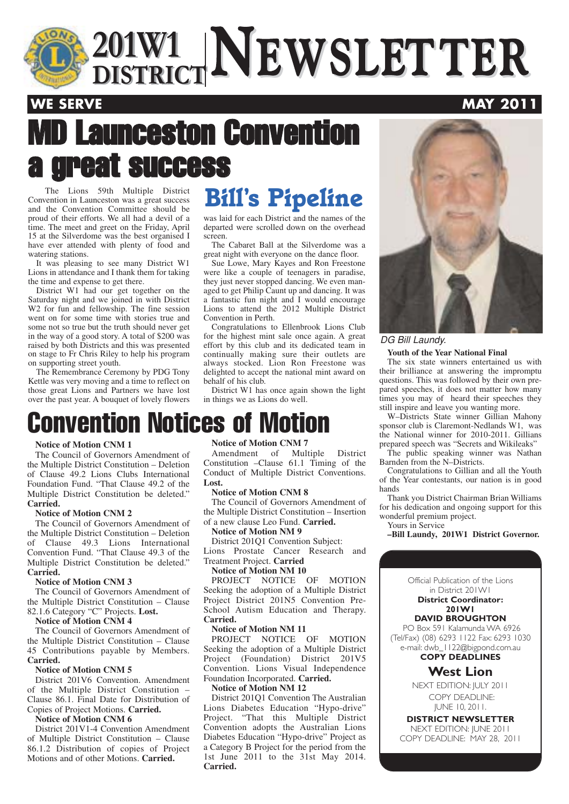# $\frac{201 \text{W1}}{\text{DISTRICT}}$ **NEWSLETTER 201W1 DISTRICTNEWSLETTER**

### **WE SERVE WE SERVE AND LOCAL CONTRACT OF A SERVE AND LOCAL CONTRACT OF A SERVE AND LOCAL CONTRACT OF A SERVE AND LOCAL CONTRACT OF A SERVE AND LOCAL CONTRACT OF A SERVE AND LOCAL CONTRACT OF A SERVE AND LOCAL CONTRACT OF A**

# **D Launceston Convention** reat success

Convention in Launceston was a great success and the Convention Committee should be proud of their efforts. We all had a devil of a time. The meet and greet on the Friday, April 15 at the Silverdome was the best organised I have ever attended with plenty of food and watering stations.

It was pleasing to see many District W1 Lions in attendance and I thank them for taking the time and expense to get there.

District W1 had our get together on the Saturday night and we joined in with District W2 for fun and fellowship. The fine session went on for some time with stories true and some not so true but the truth should never get in the way of a good story. A total of \$200 was raised by both Districts and this was presented on stage to Fr Chris Riley to help his program on supporting street youth.

The Remembrance Ceremony by PDG Tony Kettle was very moving and a time to reflect on those great Lions and Partners we have lost over the past year. A bouquet of lovely flowers

## The Lions 59th Multiple District **Bill's Pipeline**

was laid for each District and the names of the departed were scrolled down on the overhead screen.

The Cabaret Ball at the Silverdome was a great night with everyone on the dance floor.

Sue Lowe, Mary Kayes and Ron Freestone were like a couple of teenagers in paradise, they just never stopped dancing. We even managed to get Philip Caunt up and dancing. It was a fantastic fun night and I would encourage Lions to attend the 2012 Multiple District Convention in Perth.

Congratulations to Ellenbrook Lions Club for the highest mint sale once again. A great effort by this club and its dedicated team in continually making sure their outlets are always stocked. Lion Ron Freestone was delighted to accept the national mint award on behalf of his club.

District W1 has once again shown the light in things we as Lions do well.

## **onvention Notices of Motion**

#### **Notice of Motion CNM 1**

The Council of Governors Amendment of the Multiple District Constitution – Deletion of Clause 49.2 Lions Clubs International Foundation Fund. "That Clause 49.2 of the Multiple District Constitution be deleted." **Carried.**

#### **Notice of Motion CNM 2**

The Council of Governors Amendment of the Multiple District Constitution – Deletion of Clause 49.3 Lions International Convention Fund. "That Clause 49.3 of the Multiple District Constitution be deleted." **Carried.**

#### **Notice of Motion CNM 3**

The Council of Governors Amendment of the Multiple District Constitution – Clause 82.1.6 Category "C" Projects. **Lost.**

#### **Notice of Motion CNM 4**

The Council of Governors Amendment of the Multiple District Constitution – Clause 45 Contributions payable by Members. **Carried.**

#### **Notice of Motion CNM 5**

District 201V6 Convention. Amendment of the Multiple District Constitution – Clause 86.1. Final Date for Distribution of Copies of Project Motions. **Carried.**

#### **Notice of Motion CNM 6**

District 201V1-4 Convention Amendment of Multiple District Constitution – Clause 86.1.2 Distribution of copies of Project Motions and of other Motions. **Carried.**

#### **Notice of Motion CNM 7**

Amendment of Multiple District Constitution –Clause 61.1 Timing of the Conduct of Multiple District Conventions. **Lost.**

#### **Notice of Motion CNM 8**

The Council of Governors Amendment of the Multiple District Constitution – Insertion of a new clause Leo Fund. **Carried.**

#### **Notice of Motion NM 9**

District 201Q1 Convention Subject: Lions Prostate Cancer Research and Treatment Project. **Carried** 

#### **Notice of Motion NM 10**

PROJECT NOTICE OF MOTION Seeking the adoption of a Multiple District Project District 201N5 Convention Pre-School Autism Education and Therapy. **Carried.**

#### **Notice of Motion NM 11**

PROJECT NOTICE OF MOTION Seeking the adoption of a Multiple District Project (Foundation) District 201V5 Convention. Lions Visual Independence Foundation Incorporated. **Carried.**

#### **Notice of Motion NM 12**

District 201Q1 Convention The Australian Lions Diabetes Education "Hypo-drive" Project. "That this Multiple District Convention adopts the Australian Lions Diabetes Education "Hypo-drive" Project as a Category B Project for the period from the 1st June 2011 to the 31st May 2014. **Carried.**



#### DG Bill Laundy.

#### **Youth of the Year National Final**

The six state winners entertained us with their brilliance at answering the impromptu questions. This was followed by their own prepared speeches, it does not matter how many times you may of heard their speeches they still inspire and leave you wanting more.

W–Districts State winner Gillian Mahony sponsor club is Claremont-Nedlands W1, was the National winner for 2010-2011. Gillians prepared speech was "Secrets and Wikileaks"

The public speaking winner was Nathan Barnden from the N–Districts.

Congratulations to Gillian and all the Youth of the Year contestants, our nation is in good hands

Thank you District Chairman Brian Williams for his dedication and ongoing support for this wonderful premium project.

Yours in Service

**–Bill Laundy, 201W1 District Governor.**

Official Publication of the Lions in District 201W1

#### **District Coordinator: 201W1**

### **DAVID BROUGHTON**

PO Box 591 Kalamunda WA 6926 (Tel/Fax) (08) 6293 1122 Fax: 6293 1030 e-mail: dwb\_1122@bigpond.com.au **COPY DEADLINES**

### **West Lion**

NEXT EDITION: JULY 2011 COPY DEADLINE: JUNE 10, 2011.

**DISTRICT NEWSLETTER** NEXT EDITION: JUNE 2011 COPY DEADLINE: MAY 28, 2011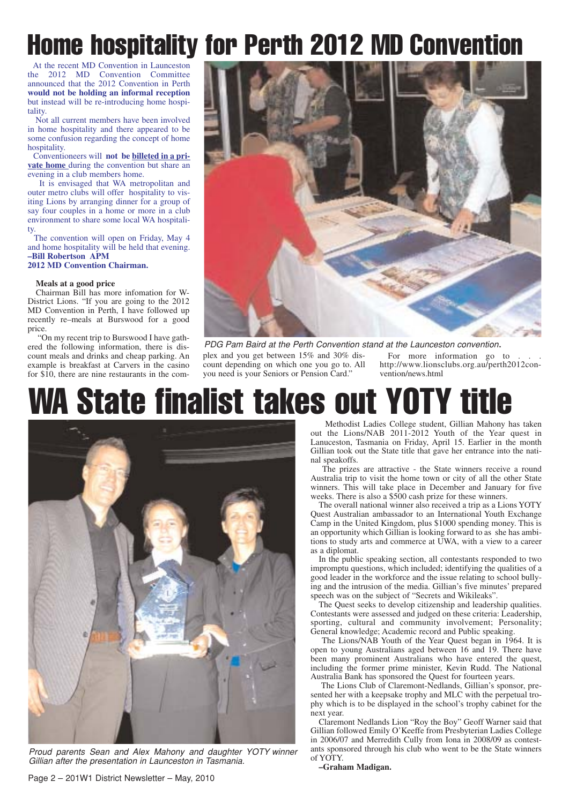## Home hospitality for Perth 2012 MD Convention

At the recent MD Convention in Launceston<br>the 2012 MD Convention Committee Convention Committee announced that the 2012 Convention in Perth **would not be holding an informal reception** but instead will be re-introducing home hospitality.

Not all current members have been involved in home hospitality and there appeared to be some confusion regarding the concept of home hospitality.

Conventioneers will **not be billeted in a private home** during the convention but share an evening in a club members home.

It is envisaged that WA metropolitan and outer metro clubs will offer hospitality to visiting Lions by arranging dinner for a group of say four couples in a home or more in a club environment to share some local WA hospitality.

The convention will open on Friday, May 4 and home hospitality will be held that evening. **–Bill Robertson APM 2012 MD Convention Chairman.**

#### **Meals at a good price**

Chairman Bill has more infomation for W-District Lions. "If you are going to the 2012 MD Convention in Perth, I have followed up recently re–meals at Burswood for a good price.

"On my recent trip to Burswood I have gathered the following information, there is discount meals and drinks and cheap parking. An example is breakfast at Carvers in the casino for \$10, there are nine restaurants in the com-



PDG Pam Baird at the Perth Convention stand at the Launceston convention. plex and you get between 15% and 30% discount depending on which one you go to. All

For more information go to http://www.lionsclubs.org.au/perth2012convention/news.html

## WA State finalist takes out YOT

you need is your Seniors or Pension Card."



Proud parents Sean and Alex Mahony and daughter YOTY winner Gillian after the presentation in Launceston in Tasmania.

Methodist Ladies College student, Gillian Mahony has taken out the Lions/NAB 2011-2012 Youth of the Year quest in Lanuceston, Tasmania on Friday, April 15. Earlier in the month Gillian took out the State title that gave her entrance into the natinal speakoffs.

The prizes are attractive - the State winners receive a round Australia trip to visit the home town or city of all the other State winners. This will take place in December and January for five weeks. There is also a \$500 cash prize for these winners.

The overall national winner also received a trip as a Lions YOTY Quest Australian ambassador to an International Youth Exchange Camp in the United Kingdom, plus \$1000 spending money. This is an opportunity which Gillian is looking forward to as she has ambitions to study arts and commerce at UWA, with a view to a career as a diplomat.

In the public speaking section, all contestants responded to two impromptu questions, which included; identifying the qualities of a good leader in the workforce and the issue relating to school bullying and the intrusion of the media. Gillian's five minutes' prepared speech was on the subject of "Secrets and Wikileaks".

The Quest seeks to develop citizenship and leadership qualities. Contestants were assessed and judged on these criteria: Leadership, sporting, cultural and community involvement; Personality; General knowledge; Academic record and Public speaking.

The Lions/NAB Youth of the Year Quest began in 1964. It is open to young Australians aged between 16 and 19. There have been many prominent Australians who have entered the quest, including the former prime minister, Kevin Rudd. The National Australia Bank has sponsored the Quest for fourteen years.

The Lions Club of Claremont-Nedlands, Gillian's sponsor, presented her with a keepsake trophy and MLC with the perpetual trophy which is to be displayed in the school's trophy cabinet for the next year.

Claremont Nedlands Lion "Roy the Boy" Geoff Warner said that Gillian followed Emily O'Keeffe from Presbyterian Ladies College in 2006/07 and Merredith Cully from Iona in 2008/09 as contestants sponsored through his club who went to be the State winners of YOTY.

**–Graham Madigan.**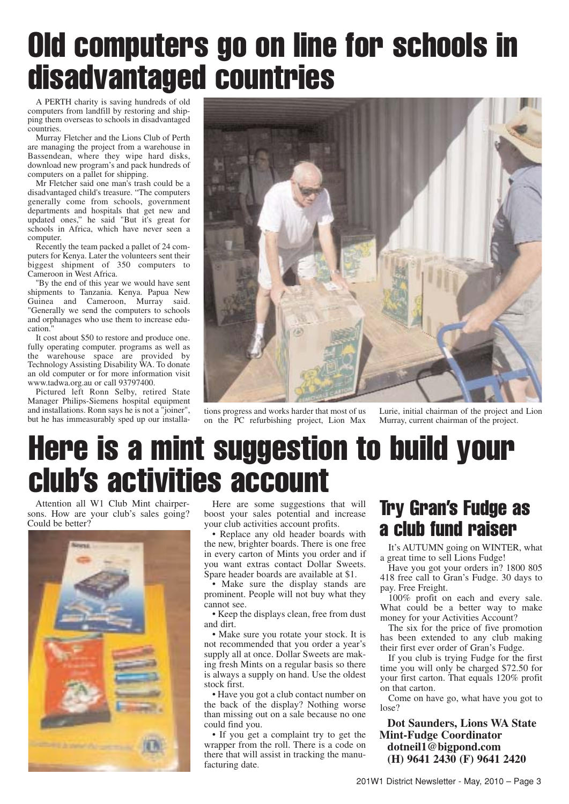# Old computers go on line for schools in disadvantaged countries

A PERTH charity is saving hundreds of old computers from landfill by restoring and shipping them overseas to schools in disadvantaged countries.

Murray Fletcher and the Lions Club of Perth are managing the project from a warehouse in Bassendean, where they wipe hard disks, download new program's and pack hundreds of computers on a pallet for shipping.

Mr Fletcher said one man's trash could be a disadvantaged child's treasure. "The computers generally come from schools, government departments and hospitals that get new and updated ones," he said "But it's great for schools in Africa, which have never seen a computer.

Recently the team packed a pallet of 24 computers for Kenya. Later the volunteers sent their biggest shipment of 350 computers to Cameroon in West Africa.

''By the end of this year we would have sent shipments to Tanzania. Kenya. Papua New Guinea and Cameroon, Murray said. "Generally we send the computers to schools and orphanages who use them to increase education."

It cost about \$50 to restore and produce one. fully operating computer. programs as well as the warehouse space are provided by Technology Assisting Disability WA. To donate an old computer or for more information visit www.tadwa.org.au or call 93797400.

Pictured left Ronn Selby, retired State Manager Philips-Siemens hospital equipment and installations. Ronn says he is not a "joiner", but he has immeasurably sped up our installa-



tions progress and works harder that most of us on the PC refurbishing project, Lion Max

Lurie, initial chairman of the project and Lion Murray, current chairman of the project.

# Here is a mint suggestion to build your club's activities account

Attention all W1 Club Mint chairpersons. How are your club's sales going? Could be better?



Here are some suggestions that will boost your sales potential and increase your club activities account profits.

• Replace any old header boards with the new, brighter boards. There is one free in every carton of Mints you order and if you want extras contact Dollar Sweets. Spare header boards are available at \$1.

• Make sure the display stands are prominent. People will not buy what they cannot see.

• Keep the displays clean, free from dust and dirt.

• Make sure you rotate your stock. It is not recommended that you order a year's supply all at once. Dollar Sweets are making fresh Mints on a regular basis so there is always a supply on hand. Use the oldest stock first.

• Have you got a club contact number on the back of the display? Nothing worse than missing out on a sale because no one could find you.

• If you get a complaint try to get the wrapper from the roll. There is a code on there that will assist in tracking the manufacturing date.

### Try Gran's Fudge as a club fund raiser

It's AUTUMN going on WINTER, what a great time to sell Lions Fudge!

Have you got your orders in? 1800 805 418 free call to Gran's Fudge. 30 days to pay. Free Freight.

100% profit on each and every sale. What could be a better way to make money for your Activities Account?

The six for the price of five promotion has been extended to any club making their first ever order of Gran's Fudge.

If you club is trying Fudge for the first time you will only be charged \$72.50 for your first carton. That equals 120% profit on that carton.

Come on have go, what have you got to lose?

**Dot Saunders, Lions WA State Mint-Fudge Coordinator dotneil1@bigpond.com (H) 9641 2430 (F) 9641 2420**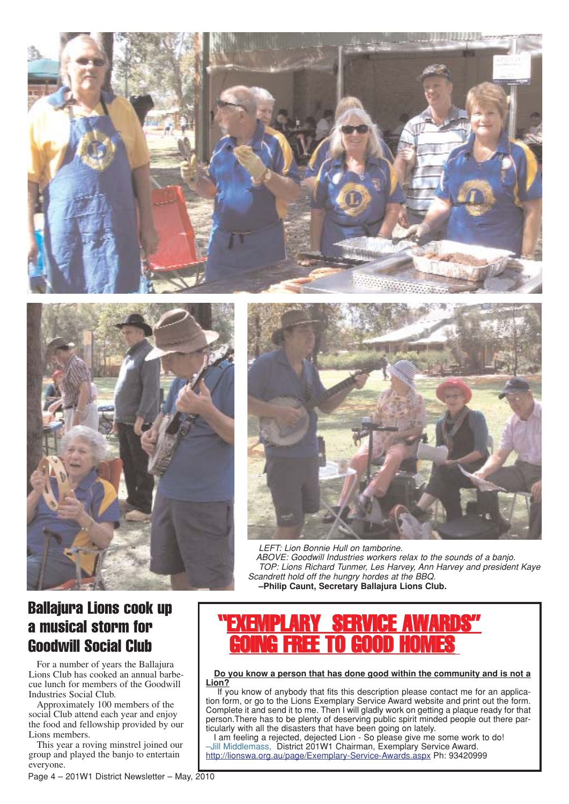





LEFT: Lion Bonnie Hull on tamborine. ABOVE: Goodwill Industries workers relax to the sounds of a banjo. TOP: Lions Richard Tunmer, Les Harvey, Ann Harvey and president Kaye Scandrett hold off the hungry hordes at the BBQ. **–Philip Caunt, Secretary Ballajura Lions Club.**

### Ballajura Lions cook up a musical storm for Goodwill Social Club

For a number of years the Ballajura Lions Club has cooked an annual barbecue lunch for members of the Goodwill Industries Social Club.

Approximately 100 members of the social Club attend each year and enjoy the food and fellowship provided by our Lions members.

This year a roving minstrel joined our group and played the banjo to entertain everyone.

### "EXEMPLARY SERVICE AWARDS" GOING FREE TO GOOD HOMES

**Do you know a person that has done good within the community and is not a Lion?**

If you know of anybody that fits this description please contact me for an application form, or go to the Lions Exemplary Service Award website and print out the form. Complete it and send it to me. Then I will gladly work on getting a plaque ready for that person.There has to be plenty of deserving public spirit minded people out there particularly with all the disasters that have been going on lately.

I am feeling a rejected, dejected Lion - So please give me some work to do! –Jill Middlemass, District 201W1 Chairman, Exemplary Service Award. http://lionswa.org.au/page/Exemplary-Service-Awards.aspx Ph: 93420999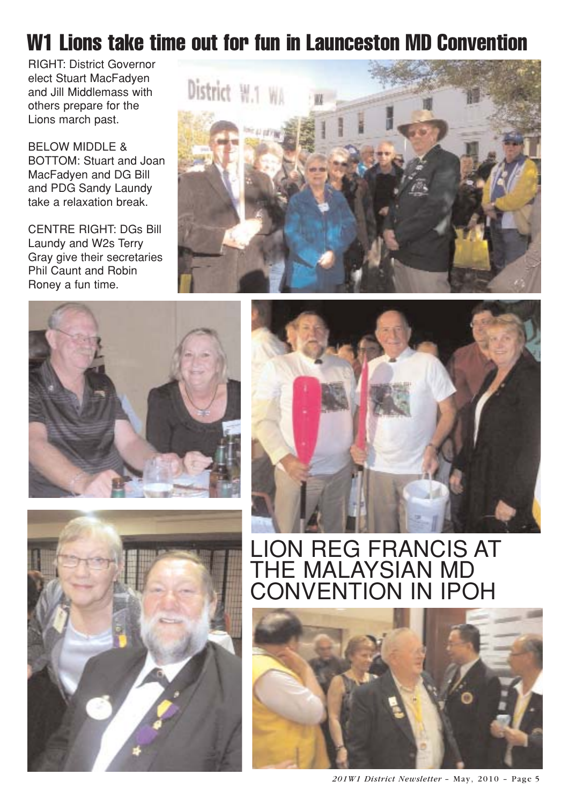## W1 Lions take time out for fun in Launceston MD Convention

RIGHT: District Governor elect Stuart MacFadyen and Jill Middlemass with others prepare for the Lions march past.

BELOW MIDDLE & BOTTOM: Stuart and Joan MacFadyen and DG Bill and PDG Sandy Laundy take a relaxation break.

CENTRE RIGHT: DGs Bill Laundy and W2s Terry Gray give their secretaries Phil Caunt and Robin Roney a fun time.









### LION REG FRANCIS AT THE MALAYSIAN MD CONVENTION IN IPOH



*201W1 District Newsletter* – May, 2010 – Page 5